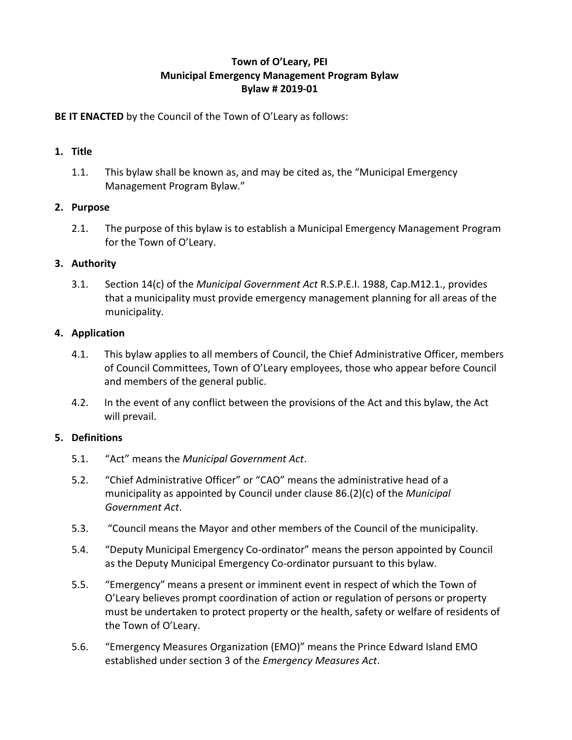# **Town of O'Leary, PEI Municipal Emergency Management Program Bylaw Bylaw # 2019-01**

### **BE IT ENACTED** by the Council of the Town of O'Leary as follows:

#### **1. Title**

1.1. This bylaw shall be known as, and may be cited as, the "Municipal Emergency Management Program Bylaw."

#### **2. Purpose**

2.1. The purpose of this bylaw is to establish a Municipal Emergency Management Program for the Town of O'Leary.

### **3. Authority**

3.1. Section 14(c) of the *Municipal Government Act* R.S.P.E.I. 1988, Cap.M12.1., provides that a municipality must provide emergency management planning for all areas of the municipality.

### **4. Application**

- 4.1. This bylaw applies to all members of Council, the Chief Administrative Officer, members of Council Committees, Town of O'Leary employees, those who appear before Council and members of the general public.
- 4.2. In the event of any conflict between the provisions of the Act and this bylaw, the Act will prevail.

# **5. Definitions**

- 5.1. "Act" means the *Municipal Government Act*.
- 5.2. "Chief Administrative Officer" or "CAO" means the administrative head of a municipality as appointed by Council under clause 86.(2)(c) of the *Municipal Government Act*.
- 5.3. "Council means the Mayor and other members of the Council of the municipality.
- 5.4. "Deputy Municipal Emergency Co-ordinator" means the person appointed by Council as the Deputy Municipal Emergency Co-ordinator pursuant to this bylaw.
- 5.5. "Emergency" means a present or imminent event in respect of which the Town of O'Leary believes prompt coordination of action or regulation of persons or property must be undertaken to protect property or the health, safety or welfare of residents of the Town of O'Leary.
- 5.6. "Emergency Measures Organization (EMO)" means the Prince Edward Island EMO established under section 3 of the *Emergency Measures Act*.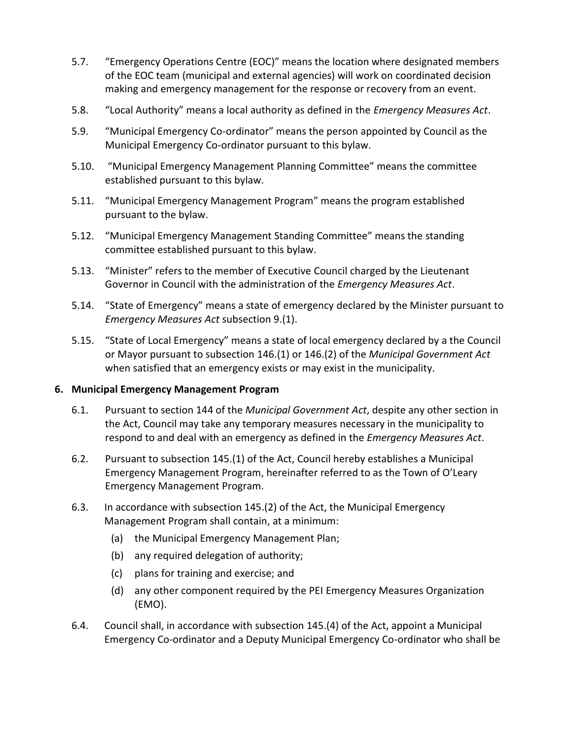- 5.7. "Emergency Operations Centre (EOC)" means the location where designated members of the EOC team (municipal and external agencies) will work on coordinated decision making and emergency management for the response or recovery from an event.
- 5.8. "Local Authority" means a local authority as defined in the *Emergency Measures Act*.
- 5.9. "Municipal Emergency Co-ordinator" means the person appointed by Council as the Municipal Emergency Co-ordinator pursuant to this bylaw.
- 5.10. "Municipal Emergency Management Planning Committee" means the committee established pursuant to this bylaw.
- 5.11. "Municipal Emergency Management Program" means the program established pursuant to the bylaw.
- 5.12. "Municipal Emergency Management Standing Committee" means the standing committee established pursuant to this bylaw.
- 5.13. "Minister" refers to the member of Executive Council charged by the Lieutenant Governor in Council with the administration of the *Emergency Measures Act*.
- 5.14. "State of Emergency" means a state of emergency declared by the Minister pursuant to *Emergency Measures Act* subsection 9.(1).
- 5.15. "State of Local Emergency" means a state of local emergency declared by a the Council or Mayor pursuant to subsection 146.(1) or 146.(2) of the *Municipal Government Act* when satisfied that an emergency exists or may exist in the municipality.

# **6. Municipal Emergency Management Program**

- 6.1. Pursuant to section 144 of the *Municipal Government Act*, despite any other section in the Act, Council may take any temporary measures necessary in the municipality to respond to and deal with an emergency as defined in the *Emergency Measures Act*.
- 6.2. Pursuant to subsection 145.(1) of the Act, Council hereby establishes a Municipal Emergency Management Program, hereinafter referred to as the Town of O'Leary Emergency Management Program.
- 6.3. In accordance with subsection 145.(2) of the Act, the Municipal Emergency Management Program shall contain, at a minimum:
	- (a) the Municipal Emergency Management Plan;
	- (b) any required delegation of authority;
	- (c) plans for training and exercise; and
	- (d) any other component required by the PEI Emergency Measures Organization (EMO).
- 6.4. Council shall, in accordance with subsection 145.(4) of the Act, appoint a Municipal Emergency Co-ordinator and a Deputy Municipal Emergency Co-ordinator who shall be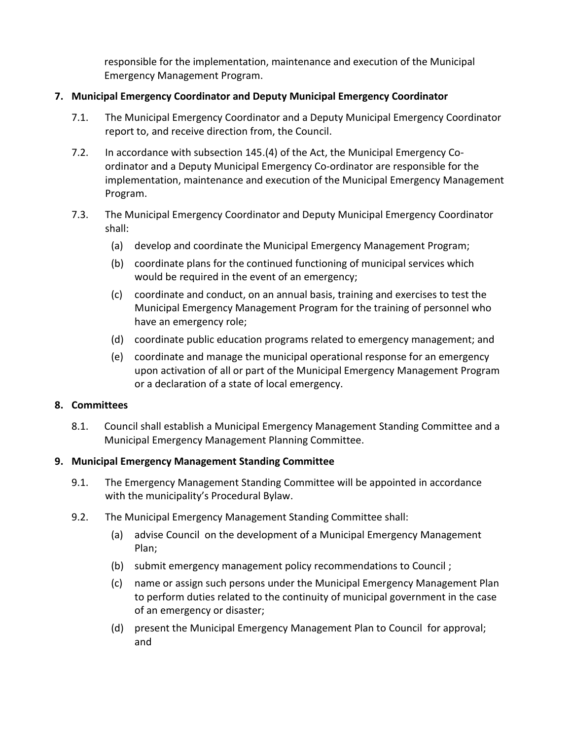responsible for the implementation, maintenance and execution of the Municipal Emergency Management Program.

### **7. Municipal Emergency Coordinator and Deputy Municipal Emergency Coordinator**

- 7.1. The Municipal Emergency Coordinator and a Deputy Municipal Emergency Coordinator report to, and receive direction from, the Council.
- 7.2. In accordance with subsection 145.(4) of the Act, the Municipal Emergency Coordinator and a Deputy Municipal Emergency Co-ordinator are responsible for the implementation, maintenance and execution of the Municipal Emergency Management Program.
- 7.3. The Municipal Emergency Coordinator and Deputy Municipal Emergency Coordinator shall:
	- (a) develop and coordinate the Municipal Emergency Management Program;
	- (b) coordinate plans for the continued functioning of municipal services which would be required in the event of an emergency;
	- (c) coordinate and conduct, on an annual basis, training and exercises to test the Municipal Emergency Management Program for the training of personnel who have an emergency role;
	- (d) coordinate public education programs related to emergency management; and
	- (e) coordinate and manage the municipal operational response for an emergency upon activation of all or part of the Municipal Emergency Management Program or a declaration of a state of local emergency.

#### **8. Committees**

8.1. Council shall establish a Municipal Emergency Management Standing Committee and a Municipal Emergency Management Planning Committee.

# **9. Municipal Emergency Management Standing Committee**

- 9.1. The Emergency Management Standing Committee will be appointed in accordance with the municipality's Procedural Bylaw.
- 9.2. The Municipal Emergency Management Standing Committee shall:
	- (a) advise Council on the development of a Municipal Emergency Management Plan;
	- (b) submit emergency management policy recommendations to Council ;
	- (c) name or assign such persons under the Municipal Emergency Management Plan to perform duties related to the continuity of municipal government in the case of an emergency or disaster;
	- (d) present the Municipal Emergency Management Plan to Council for approval; and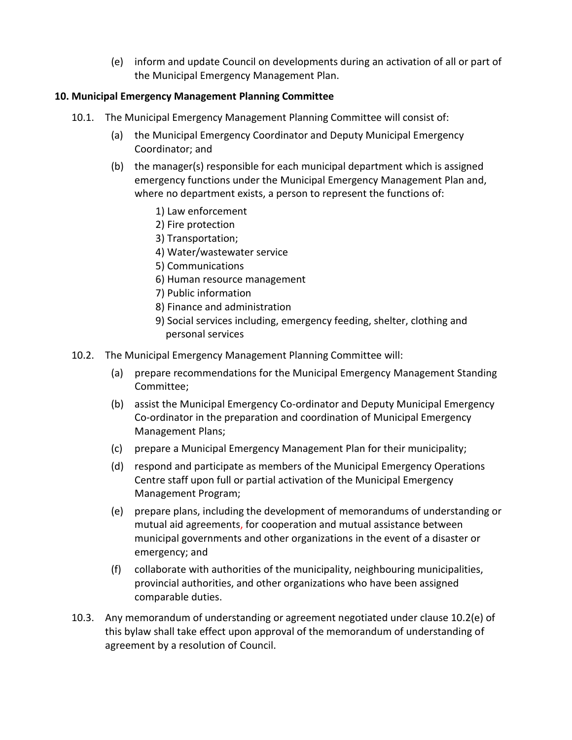(e) inform and update Council on developments during an activation of all or part of the Municipal Emergency Management Plan.

### **10. Municipal Emergency Management Planning Committee**

- 10.1. The Municipal Emergency Management Planning Committee will consist of:
	- (a) the Municipal Emergency Coordinator and Deputy Municipal Emergency Coordinator; and
	- (b) the manager(s) responsible for each municipal department which is assigned emergency functions under the Municipal Emergency Management Plan and, where no department exists, a person to represent the functions of:
		- 1) Law enforcement
		- 2) Fire protection
		- 3) Transportation;
		- 4) Water/wastewater service
		- 5) Communications
		- 6) Human resource management
		- 7) Public information
		- 8) Finance and administration
		- 9) Social services including, emergency feeding, shelter, clothing and personal services
- 10.2. The Municipal Emergency Management Planning Committee will:
	- (a) prepare recommendations for the Municipal Emergency Management Standing Committee;
	- (b) assist the Municipal Emergency Co-ordinator and Deputy Municipal Emergency Co-ordinator in the preparation and coordination of Municipal Emergency Management Plans;
	- (c) prepare a Municipal Emergency Management Plan for their municipality;
	- (d) respond and participate as members of the Municipal Emergency Operations Centre staff upon full or partial activation of the Municipal Emergency Management Program;
	- (e) prepare plans, including the development of memorandums of understanding or mutual aid agreements, for cooperation and mutual assistance between municipal governments and other organizations in the event of a disaster or emergency; and
	- (f) collaborate with authorities of the municipality, neighbouring municipalities, provincial authorities, and other organizations who have been assigned comparable duties.
- 10.3. Any memorandum of understanding or agreement negotiated under clause 10.2(e) of this bylaw shall take effect upon approval of the memorandum of understanding of agreement by a resolution of Council.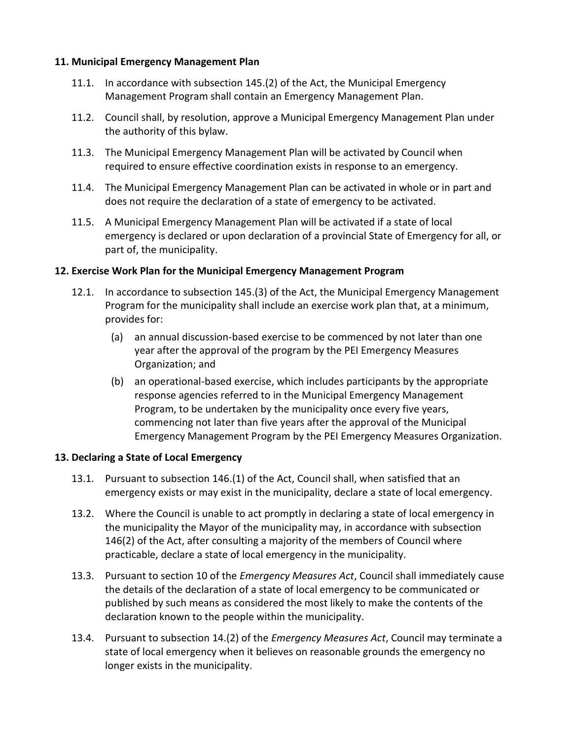### **11. Municipal Emergency Management Plan**

- 11.1. In accordance with subsection 145.(2) of the Act, the Municipal Emergency Management Program shall contain an Emergency Management Plan.
- 11.2. Council shall, by resolution, approve a Municipal Emergency Management Plan under the authority of this bylaw.
- 11.3. The Municipal Emergency Management Plan will be activated by Council when required to ensure effective coordination exists in response to an emergency.
- 11.4. The Municipal Emergency Management Plan can be activated in whole or in part and does not require the declaration of a state of emergency to be activated.
- 11.5. A Municipal Emergency Management Plan will be activated if a state of local emergency is declared or upon declaration of a provincial State of Emergency for all, or part of, the municipality.

### **12. Exercise Work Plan for the Municipal Emergency Management Program**

- 12.1. In accordance to subsection 145.(3) of the Act, the Municipal Emergency Management Program for the municipality shall include an exercise work plan that, at a minimum, provides for:
	- (a) an annual discussion-based exercise to be commenced by not later than one year after the approval of the program by the PEI Emergency Measures Organization; and
	- (b) an operational-based exercise, which includes participants by the appropriate response agencies referred to in the Municipal Emergency Management Program, to be undertaken by the municipality once every five years, commencing not later than five years after the approval of the Municipal Emergency Management Program by the PEI Emergency Measures Organization.

#### **13. Declaring a State of Local Emergency**

- 13.1. Pursuant to subsection 146.(1) of the Act, Council shall, when satisfied that an emergency exists or may exist in the municipality, declare a state of local emergency.
- 13.2. Where the Council is unable to act promptly in declaring a state of local emergency in the municipality the Mayor of the municipality may, in accordance with subsection 146(2) of the Act, after consulting a majority of the members of Council where practicable, declare a state of local emergency in the municipality.
- 13.3. Pursuant to section 10 of the *Emergency Measures Act*, Council shall immediately cause the details of the declaration of a state of local emergency to be communicated or published by such means as considered the most likely to make the contents of the declaration known to the people within the municipality.
- 13.4. Pursuant to subsection 14.(2) of the *Emergency Measures Act*, Council may terminate a state of local emergency when it believes on reasonable grounds the emergency no longer exists in the municipality.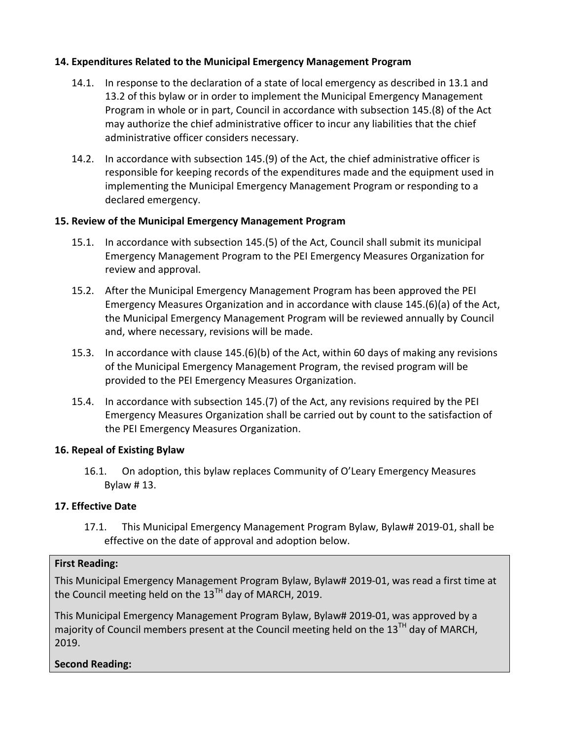# **14. Expenditures Related to the Municipal Emergency Management Program**

- 14.1. In response to the declaration of a state of local emergency as described in 13.1 and 13.2 of this bylaw or in order to implement the Municipal Emergency Management Program in whole or in part, Council in accordance with subsection 145.(8) of the Act may authorize the chief administrative officer to incur any liabilities that the chief administrative officer considers necessary.
- 14.2. In accordance with subsection 145.(9) of the Act, the chief administrative officer is responsible for keeping records of the expenditures made and the equipment used in implementing the Municipal Emergency Management Program or responding to a declared emergency.

### **15. Review of the Municipal Emergency Management Program**

- 15.1. In accordance with subsection 145.(5) of the Act, Council shall submit its municipal Emergency Management Program to the PEI Emergency Measures Organization for review and approval.
- 15.2. After the Municipal Emergency Management Program has been approved the PEI Emergency Measures Organization and in accordance with clause 145.(6)(a) of the Act, the Municipal Emergency Management Program will be reviewed annually by Council and, where necessary, revisions will be made.
- 15.3. In accordance with clause 145.(6)(b) of the Act, within 60 days of making any revisions of the Municipal Emergency Management Program, the revised program will be provided to the PEI Emergency Measures Organization.
- 15.4. In accordance with subsection 145.(7) of the Act, any revisions required by the PEI Emergency Measures Organization shall be carried out by count to the satisfaction of the PEI Emergency Measures Organization.

#### **16. Repeal of Existing Bylaw**

16.1. On adoption, this bylaw replaces Community of O'Leary Emergency Measures Bylaw # 13.

# **17. Effective Date**

17.1. This Municipal Emergency Management Program Bylaw, Bylaw# 2019-01, shall be effective on the date of approval and adoption below.

# **First Reading:**

This Municipal Emergency Management Program Bylaw, Bylaw# 2019-01, was read a first time at the Council meeting held on the  $13^{TH}$  day of MARCH, 2019.

This Municipal Emergency Management Program Bylaw, Bylaw# 2019-01, was approved by a majority of Council members present at the Council meeting held on the  $13<sup>TH</sup>$  day of MARCH. 2019.

# **Second Reading:**